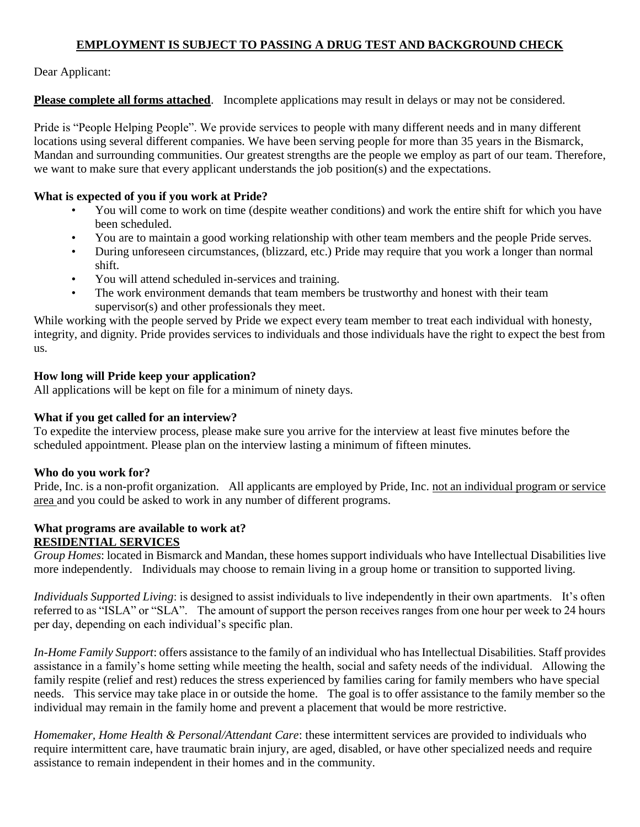# **EMPLOYMENT IS SUBJECT TO PASSING A DRUG TEST AND BACKGROUND CHECK**

Dear Applicant:

**Please complete all forms attached**. Incomplete applications may result in delays or may not be considered.

Pride is "People Helping People". We provide services to people with many different needs and in many different locations using several different companies. We have been serving people for more than 35 years in the Bismarck, Mandan and surrounding communities. Our greatest strengths are the people we employ as part of our team. Therefore, we want to make sure that every applicant understands the job position(s) and the expectations.

### **What is expected of you if you work at Pride?**

- You will come to work on time (despite weather conditions) and work the entire shift for which you have been scheduled.
- You are to maintain a good working relationship with other team members and the people Pride serves.
- During unforeseen circumstances, (blizzard, etc.) Pride may require that you work a longer than normal shift.
- You will attend scheduled in-services and training.
- The work environment demands that team members be trustworthy and honest with their team supervisor(s) and other professionals they meet.

While working with the people served by Pride we expect every team member to treat each individual with honesty, integrity, and dignity. Pride provides services to individuals and those individuals have the right to expect the best from us.

## **How long will Pride keep your application?**

All applications will be kept on file for a minimum of ninety days.

## **What if you get called for an interview?**

To expedite the interview process, please make sure you arrive for the interview at least five minutes before the scheduled appointment. Please plan on the interview lasting a minimum of fifteen minutes.

## **Who do you work for?**

Pride, Inc. is a non-profit organization. All applicants are employed by Pride, Inc. not an individual program or service area and you could be asked to work in any number of different programs.

#### **What programs are available to work at? RESIDENTIAL SERVICES**

*Group Homes*: located in Bismarck and Mandan, these homes support individuals who have Intellectual Disabilities live more independently. Individuals may choose to remain living in a group home or transition to supported living.

*Individuals Supported Living*: is designed to assist individuals to live independently in their own apartments. It's often referred to as "ISLA" or "SLA". The amount of support the person receives ranges from one hour per week to 24 hours per day, depending on each individual's specific plan.

*In-Home Family Support*: offers assistance to the family of an individual who has Intellectual Disabilities. Staff provides assistance in a family's home setting while meeting the health, social and safety needs of the individual. Allowing the family respite (relief and rest) reduces the stress experienced by families caring for family members who have special needs. This service may take place in or outside the home. The goal is to offer assistance to the family member so the individual may remain in the family home and prevent a placement that would be more restrictive.

*Homemaker, Home Health & Personal/Attendant Care*: these intermittent services are provided to individuals who require intermittent care, have traumatic brain injury, are aged, disabled, or have other specialized needs and require assistance to remain independent in their homes and in the community.